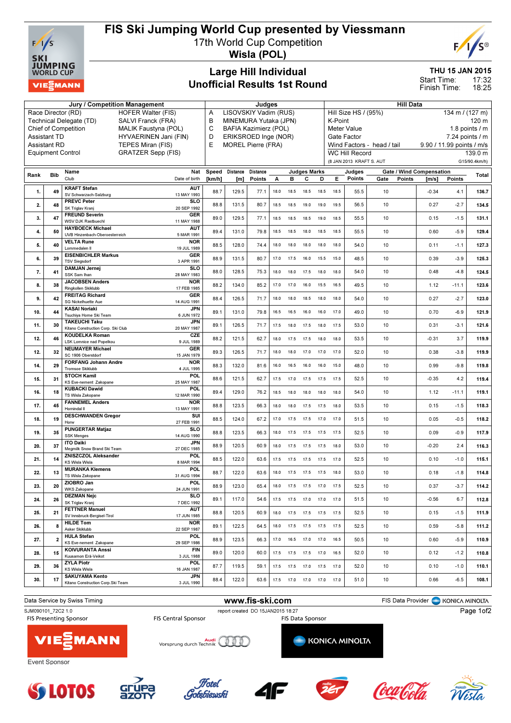

## FIS Ski Jumping World Cup presented by Viessmann

17th World Cup Competition



Wisla (POL)

## Large Hill Individual Unofficial Results 1st Round

THU 15 JAN 2015

17:32 18:25 Start Time: Finish Time:

|                                                                                                             |                         | Jury / Competition Management                                                        | Judges |                                                                            |          |      |                |                              |      | <b>Hill Data</b>                                                        |                          |                            |                           |         |               |  |
|-------------------------------------------------------------------------------------------------------------|-------------------------|--------------------------------------------------------------------------------------|--------|----------------------------------------------------------------------------|----------|------|----------------|------------------------------|------|-------------------------------------------------------------------------|--------------------------|----------------------------|---------------------------|---------|---------------|--|
| <b>HOFER Walter (FIS)</b><br>Race Director (RD)                                                             |                         |                                                                                      |        | LISOVSKIY Vadim (RUS)<br>Α                                                 |          |      |                |                              |      | Hill Size HS / (95%)<br>134 m / (127 m)                                 |                          |                            |                           |         |               |  |
| Technical Delegate (TD)<br>SALVI Franck (FRA)<br><b>Chief of Competition</b><br><b>MALIK Faustyna (POL)</b> |                         |                                                                                      |        | В<br>MINEMURA Yutaka (JPN)<br>$\mathsf{C}$<br><b>BAFIA Kazimierz (POL)</b> |          |      |                |                              |      | K-Point<br>120 m                                                        |                          |                            |                           |         |               |  |
| HYVAERINEN Jani (FIN)<br><b>Assistant TD</b>                                                                |                         |                                                                                      |        | ERIKSROED Inge (NOR)<br>D                                                  |          |      |                |                              |      | <b>Meter Value</b><br>1.8 points $/m$<br>Gate Factor<br>7.24 points / m |                          |                            |                           |         |               |  |
| E<br><b>Assistant RD</b><br>TEPES Miran (FIS)                                                               |                         |                                                                                      |        | <b>MOREL Pierre (FRA)</b>                                                  |          |      |                |                              |      |                                                                         |                          | Wind Factors - head / tail | 9.90 / 11.99 points / m/s |         |               |  |
| <b>GRATZER Sepp (FIS)</b><br><b>Equipment Control</b>                                                       |                         |                                                                                      |        |                                                                            |          |      |                |                              |      |                                                                         | <b>WC Hill Record</b>    |                            |                           |         | 139.0 m       |  |
|                                                                                                             |                         |                                                                                      |        |                                                                            |          |      |                |                              |      |                                                                         | (8 JAN 2013 KRAFT S. AUT |                            |                           |         | G15/90.4km/h) |  |
| Rank                                                                                                        | <b>Bib</b>              | Name<br>Nat                                                                          | Speed  | Distance                                                                   | Distance |      |                | <b>Judges Marks</b>          |      |                                                                         | Judges                   | Gate / Wind Compensation   |                           |         | Total         |  |
|                                                                                                             |                         | Club<br>Date of birth                                                                | [km/h] | [m]                                                                        | Points   | А    | в              | c                            | D    | Е.                                                                      | Points                   | Gate<br>Points             | [m/s]                     | Points  |               |  |
| 1.                                                                                                          | 49                      | <b>KRAFT Stefan</b><br><b>AUT</b><br>SV Schwarzach-Salzburg<br>13 MAY 1993           | 88.7   | 129.5                                                                      | 77.1     | 18.0 | 18.5           | 18.5                         | 18.5 | 18.5                                                                    | 55.5                     | 10                         | $-0.34$                   | 4.1     | 136.7         |  |
| 2.                                                                                                          | 48                      | <b>PREVC Peter</b><br><b>SLO</b><br>SK Triglav Kranj<br>20 SEP 1992                  | 88.8   | 131.5                                                                      | 80.7     | 18.5 | 18.5           | 19.0                         | 19.0 | 19.5                                                                    | 56.5                     | 10                         | 0.27                      | $-2.7$  | 134.5         |  |
| 3.                                                                                                          | 47                      | <b>FREUND Severin</b><br>GER                                                         | 89.0   | 129.5                                                                      | 77.1     | 18.5 | 18.5           | 18.5                         | 19.0 | 18.5                                                                    | 55.5                     | 10                         | 0.15                      | $-1.5$  | 131.1         |  |
|                                                                                                             |                         | <b>WSV DJK Rastbuechl</b><br>11 MAY 1988<br><b>HAYBOECK Michael</b><br><b>AUT</b>    |        |                                                                            |          |      |                |                              |      |                                                                         |                          |                            |                           |         |               |  |
| 4.                                                                                                          | 50                      | UVB Hinzenbach-Oberoesterreich<br>5 MAR 1991                                         | 89.4   | 131.0                                                                      | 79.8     | 18.5 | 18.5           | 18.0                         | 18.5 | 18.5                                                                    | 55.5                     | 10                         | 0.60                      | $-5.9$  | 129.4         |  |
| 5.                                                                                                          | 40                      | <b>NOR</b><br><b>VELTA Rune</b><br>Lommedalen II<br>19 JUL 1989                      | 88.5   | 128.0                                                                      | 74.4     | 18.0 | 18.0           | 18.0                         | 18.0 | 18.0                                                                    | 54.0                     | 10                         | 0.11                      | $-1.1$  | 127.3         |  |
| 6.                                                                                                          | 39                      | <b>EISENBICHLER Markus</b><br><b>GER</b><br><b>TSV Siegsdorf</b><br>3 APR 1991       | 88.9   | 131.5                                                                      | 80.7     | 17.0 | 17.5           | 16.0                         | 15.5 | 15.0                                                                    | 48.5                     | 10                         | 0.39                      | $-3.9$  | 125.3         |  |
| 7.                                                                                                          | 41                      | <b>DAMJAN Jernej</b><br><b>SLO</b><br>SSK Sam Ihan<br>28 MAY 1983                    | 88.0   | 128.5                                                                      | 75.3     | 18.0 | 18.0           | 17.5                         | 18.0 | 18.0                                                                    | 54.0                     | 10                         | 0.48                      | $-4.8$  | 124.5         |  |
| 8.                                                                                                          | 38                      | <b>JACOBSEN Anders</b><br><b>NOR</b><br>17 FEB 1985<br>Ringkollen Skiklubb           | 88.2   | 134.0                                                                      | 85.2     | 17.0 | 17.0           | 16.0                         | 15.5 | 16.5                                                                    | 49.5                     | 10                         | 1.12                      | $-11.1$ | 123.6         |  |
| 9.                                                                                                          | 42                      | <b>FREITAG Richard</b><br><b>GER</b><br><b>SG Nickelhuette Aue</b><br>14 AUG 1991    | 88.4   | 126.5                                                                      | 71.7     | 18.0 | 18.0           | 18.5                         | 18.0 | 18.0                                                                    | 54.0                     | 10                         | 0.27                      | $-2.7$  | 123.0         |  |
| 10.                                                                                                         | 44                      | <b>KASAI Noriaki</b><br>JPN<br>Tsuchiya Home Ski Team<br>6 JUN 1972                  | 89.1   | 131.0                                                                      | 79.8     | 16.5 | 16.5           | 16.0                         | 16.0 | 17.0                                                                    | 49.0                     | 10                         | 0.70                      | $-6.9$  | 121.9         |  |
| 11.                                                                                                         | 30                      | <b>TAKEUCHI Taku</b><br>JPN<br>Kitano Construction Corp. Ski Club<br>20 MAY 1987     | 89.1   | 126.5                                                                      | 71.7     | 17.5 | 18.0           | 17.5                         | 18.0 | 17.5                                                                    | 53.0                     | 10                         | 0.31                      | $-3.1$  | 121.6         |  |
| 12.                                                                                                         | 46                      | <b>CZE</b><br><b>KOUDELKA Roman</b><br><b>LSK Lomnice nad Popelkou</b><br>9 JUL 1989 | 88.2   | 121.5                                                                      | 62.7     | 18.0 | 17.5           | 17.5                         | 18.0 | 18.0                                                                    | 53.5                     | 10                         | $-0.31$                   | 3.7     | 119.9         |  |
| 12.                                                                                                         | 32                      | <b>NEUMAYER Michael</b><br>GER<br>SC 1906 Oberstdorf<br>15 JAN 1979                  | 89.3   | 126.5                                                                      | 71.7     | 18.0 | 18.0           | 17.0                         | 17.0 | 17.0                                                                    | 52.0                     | 10                         | 0.38                      | $-3.8$  | 119.9         |  |
| 14.                                                                                                         | 29                      | <b>FORFANG Johann Andre</b><br><b>NOR</b><br><b>Tromsoe Skiklubb</b><br>4 JUL 1995   | 88.3   | 132.0                                                                      | 81.6     | 16.0 | 16.5           | 16.0                         | 16.0 | 15.0                                                                    | 48.0                     | 10                         | 0.99                      | $-9.8$  | 119.8         |  |
| 15.                                                                                                         | 31                      | <b>STOCH Kamil</b><br>POL<br>KS Eve-nement Zakopane<br>25 MAY 1987                   | 88.6   | 121.5                                                                      | 62.7     | 17.5 | 17.0           | 17.5                         | 17.5 | 17.5                                                                    | 52.5                     | 10                         | $-0.35$                   | 4.2     | 119.4         |  |
| 16.                                                                                                         | 18                      | <b>KUBACKI Dawid</b><br>POL<br>TS Wisla Zakopane<br>12 MAR 1990                      | 89.4   | 129.0                                                                      | 76.2     | 18.5 | 18.0           | 18.0                         | 18.0 | 18.0                                                                    | 54.0                     | 10                         | 1.12                      | $-11.1$ | 119.1         |  |
| 17.                                                                                                         | 45                      | <b>FANNEMEL Anders</b><br><b>NOR</b><br>Hornindal II<br>13 MAY 1991                  | 88.8   | 123.5                                                                      | 66.3     | 18.0 | 18.0           | 17.5                         | 17.5 | 18.0                                                                    | 53.5                     | 10                         | 0.15                      | $-1.5$  | 118.3         |  |
| 18.                                                                                                         | 19                      | <b>DESCHWANDEN Gregor</b><br>SUI<br>27 FEB 1991<br>Horw                              | 88.5   | 124.0                                                                      | 67.2     | 17.0 | 17.5           | 17.5                         | 17.0 | 17.0                                                                    | 51.5                     | 10                         | 0.05                      | $-0.5$  | 118.2         |  |
| 19.                                                                                                         | 35                      | <b>PUNGERTAR Matjaz</b><br><b>SLO</b><br><b>SSK Menges</b><br>14 AUG 1990            | 88.8   | 123.5                                                                      | 66.3     | 18.0 | 17.5           | 17.5                         | 17.5 | 17.5                                                                    | 52.5                     | 10                         | 0.09                      | $-0.9$  | 117.9         |  |
| 20.                                                                                                         | 37                      | <b>ITO Daiki</b><br><b>JPN</b><br>Megmilk Snow Brand Ski Team<br>27 DEC 1985         | 88.9   | 120.5                                                                      | 60.9     | 18.0 | 17.5           | 17.5                         | 17.5 | 18.0                                                                    | 53.0                     | 10                         | $-0.20$                   | 2.4     | 116.3         |  |
| 21.                                                                                                         | 14                      | ZNISZCZOL Aleksander<br>POL<br><b>KS Wisla Wisla</b><br>8 MAR 1994                   | 88.5   | 122.0                                                                      | 63.6     | 17.5 | 17.5           | 17.5                         | 17.5 | 17.0                                                                    | 52.5                     | 10                         | 0.10                      | $-1.0$  | 115.1         |  |
| 22.                                                                                                         | 13                      | POL<br><b>MURANKA Klemens</b><br>TS Wisla Zakopane<br>31 AUG 1994                    | 88.7   | 122.0                                                                      | 63.6     |      | 18.0 17.5 17.5 |                              | 17.5 | 18.0                                                                    | 53.0                     | 10                         | 0.18                      | $-1.8$  | 114.8         |  |
| 23.                                                                                                         | 20                      | ZIOBRO Jan<br>POL.<br><b>WKS Zakopane</b><br>24 JUN 1991                             | 88.9   | 123.0                                                                      | 65.4     | 18.0 | 17.5 17.5      |                              | 17.0 | 17.5                                                                    | 52.5                     | 10                         | 0.37                      | $-3.7$  | 114.2         |  |
| 24.                                                                                                         | 26                      | <b>DEZMAN Nejc</b><br><b>SLO</b><br>SK Triglav Kranj<br>7 DEC 1992                   | 89.1   | 117.0                                                                      | 54.6     |      |                | 17.5  17.5  17.0  17.0       |      | 17.0                                                                    | 51.5                     | 10                         | $-0.56$                   | 6.7     | 112.8         |  |
| 25.                                                                                                         | 21                      | <b>FETTNER Manuel</b><br><b>AUT</b><br>SV Innsbruck-Bergisel-Tirol<br>17 JUN 1985    | 88.8   | 120.5                                                                      | 60.9     |      |                | 18.0 17.5 17.5 17.5 17.5     |      |                                                                         | 52.5                     | 10                         | 0.15                      | $-1.5$  | 111.9         |  |
| 26.                                                                                                         | 8                       | <b>HILDE Tom</b><br><b>NOR</b><br>Asker Skiklubb<br>22 SEP 1987                      | 89.1   | 122.5                                                                      | 64.5     |      |                | 18.0 17.5 17.5 17.5 17.5     |      |                                                                         | 52.5                     | 10                         | 0.59                      | $-5.8$  | 111.2         |  |
| 27.                                                                                                         | $\overline{\mathbf{2}}$ | <b>POL</b><br><b>HULA Stefan</b><br>29 SEP 1986<br>KS Eve-nement Zakopane            | 88.9   | 123.5                                                                      | 66.3     |      |                | 17.0  16.5  17.0  17.0       |      | 16.5                                                                    | 50.5                     | 10                         | 0.60                      | $-5.9$  | 110.9         |  |
| 28.                                                                                                         | 15                      | <b>KOIVURANTA Anssi</b><br><b>FIN</b><br>Kuusamon Erä-Veikot<br>3 JUL 1988           | 89.0   | 120.0                                                                      | 60.0     |      |                | 17.5  17.5  17.5  17.0  16.5 |      |                                                                         | 52.0                     | 10                         | 0.12                      | $-1.2$  | 110.8         |  |
| 29.                                                                                                         | 36                      | <b>POL</b><br><b>ZYLA Piotr</b><br><b>KS Wisla Wisla</b><br>16 JAN 1987              | 87.7   | 119.5                                                                      | 59.1     |      |                | 17.5  17.5  17.0  17.5  17.0 |      |                                                                         | 52.0                     | 10                         | 0.10                      | $-1.0$  | 110.1         |  |
| 30.                                                                                                         | 17                      | <b>SAKUYAMA Kento</b><br>JPN<br>3 JUL 1990<br>Kitano Construction Corp.Ski Team      | 88.4   | 122.0                                                                      | 63.6     |      |                | 17.5  17.0  17.0  17.0  17.0 |      |                                                                         | 51.0                     | 10                         | 0.66                      | $-6.5$  | 108.1         |  |